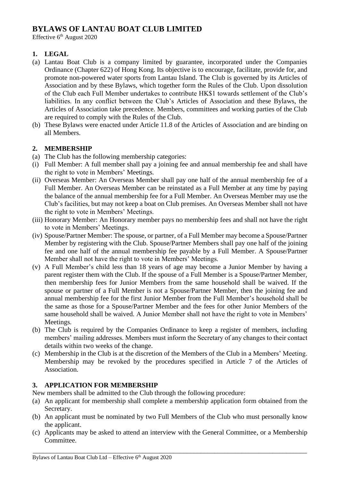# **BYLAWS OF LANTAU BOAT CLUB LIMITED**

Effective  $6<sup>th</sup>$  August 2020

## **1. LEGAL**

- (a) Lantau Boat Club is a company limited by guarantee, incorporated under the Companies Ordinance (Chapter 622) of Hong Kong. Its objective is to encourage, facilitate, provide for, and promote non-powered water sports from Lantau Island. The Club is governed by its Articles of Association and by these Bylaws, which together form the Rules of the Club. Upon dissolution of the Club each Full Member undertakes to contribute HK\$1 towards settlement of the Club's liabilities. In any conflict between the Club's Articles of Association and these Bylaws, the Articles of Association take precedence. Members, committees and working parties of the Club are required to comply with the Rules of the Club.
- (b) These Bylaws were enacted under Article 11.8 of the Articles of Association and are binding on all Members.

## **2. MEMBERSHIP**

- (a) The Club has the following membership categories:
- (i) Full Member: A full member shall pay a joining fee and annual membership fee and shall have the right to vote in Members' Meetings.
- (ii) Overseas Member: An Overseas Member shall pay one half of the annual membership fee of a Full Member. An Overseas Member can be reinstated as a Full Member at any time by paying the balance of the annual membership fee for a Full Member. An Overseas Member may use the Club's facilities, but may not keep a boat on Club premises. An Overseas Member shall not have the right to vote in Members' Meetings.
- (iii) Honorary Member: An Honorary member pays no membership fees and shall not have the right to vote in Members' Meetings.
- (iv) Spouse/Partner Member: The spouse, or partner, of a Full Member may become a Spouse/Partner Member by registering with the Club. Spouse/Partner Members shall pay one half of the joining fee and one half of the annual membership fee payable by a Full Member. A Spouse/Partner Member shall not have the right to vote in Members' Meetings.
- (v) A Full Member's child less than 18 years of age may become a Junior Member by having a parent register them with the Club. If the spouse of a Full Member is a Spouse/Partner Member, then membership fees for Junior Members from the same household shall be waived. If the spouse or partner of a Full Member is not a Spouse/Partner Member, then the joining fee and annual membership fee for the first Junior Member from the Full Member's household shall be the same as those for a Spouse/Partner Member and the fees for other Junior Members of the same household shall be waived. A Junior Member shall not have the right to vote in Members' Meetings.
- (b) The Club is required by the Companies Ordinance to keep a register of members, including members' mailing addresses. Members must inform the Secretary of any changes to their contact details within two weeks of the change.
- (c) Membership in the Club is at the discretion of the Members of the Club in a Members' Meeting. Membership may be revoked by the procedures specified in Article 7 of the Articles of Association.

### **3. APPLICATION FOR MEMBERSHIP**

New members shall be admitted to the Club through the following procedure:

- (a) An applicant for membership shall complete a membership application form obtained from the Secretary.
- (b) An applicant must be nominated by two Full Members of the Club who must personally know the applicant.
- (c) Applicants may be asked to attend an interview with the General Committee, or a Membership Committee.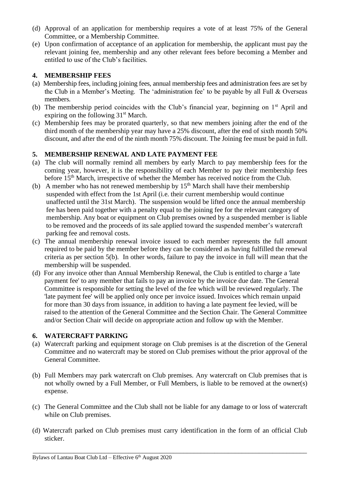- (d) Approval of an application for membership requires a vote of at least 75% of the General Committee, or a Membership Committee.
- (e) Upon confirmation of acceptance of an application for membership, the applicant must pay the relevant joining fee, membership and any other relevant fees before becoming a Member and entitled to use of the Club's facilities.

## **4. MEMBERSHIP FEES**

- (a) Membership fees, including joining fees, annual membership fees and administration fees are set by the Club in a Member's Meeting. The 'administration fee' to be payable by all Full & Overseas members.
- (b) The membership period coincides with the Club's financial year, beginning on  $1<sup>st</sup>$  April and expiring on the following  $31<sup>st</sup>$  March.
- (c) Membership fees may be prorated quarterly, so that new members joining after the end of the third month of the membership year may have a 25% discount, after the end of sixth month 50% discount, and after the end of the ninth month 75% discount. The Joining fee must be paid in full.

### **5. MEMBERSHIP RENEWAL AND LATE PAYMENT FEE**

- (a) The club will normally remind all members by early March to pay membership fees for the coming year, however, it is the responsibility of each Member to pay their membership fees before 15<sup>th</sup> March, irrespective of whether the Member has received notice from the Club.
- (b) A member who has not renewed membership by  $15<sup>th</sup>$  March shall have their membership suspended with effect from the 1st April (i.e. their current membership would continue unaffected until the 31st March). The suspension would be lifted once the annual membership fee has been paid together with a penalty equal to the joining fee for the relevant category of membership. Any boat or equipment on Club premises owned by a suspended member is liable to be removed and the proceeds of its sale applied toward the suspended member's watercraft parking fee and removal costs.
- (c) The annual membership renewal invoice issued to each member represents the full amount required to be paid by the member before they can be considered as having fulfilled the renewal criteria as per section 5(b). In other words, failure to pay the invoice in full will mean that the membership will be suspended.
- (d) For any invoice other than Annual Membership Renewal, the Club is entitled to charge a 'late payment fee' to any member that fails to pay an invoice by the invoice due date. The General Committee is responsible for setting the level of the fee which will be reviewed regularly. The 'late payment fee' will be applied only once per invoice issued. Invoices which remain unpaid for more than 30 days from issuance, in addition to having a late payment fee levied, will be raised to the attention of the General Committee and the Section Chair. The General Committee and/or Section Chair will decide on appropriate action and follow up with the Member.

### **6. WATERCRAFT PARKING**

- (a) Watercraft parking and equipment storage on Club premises is at the discretion of the General Committee and no watercraft may be stored on Club premises without the prior approval of the General Committee.
- (b) Full Members may park watercraft on Club premises. Any watercraft on Club premises that is not wholly owned by a Full Member, or Full Members, is liable to be removed at the owner(s) expense.
- (c) The General Committee and the Club shall not be liable for any damage to or loss of watercraft while on Club premises.
- (d) Watercraft parked on Club premises must carry identification in the form of an official Club sticker.

Bylaws of Lantau Boat Club Ltd - Effective 6<sup>th</sup> August 2020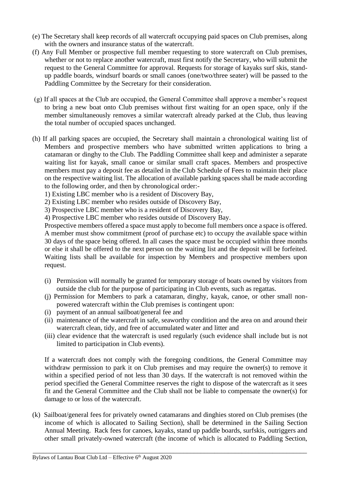- (e) The Secretary shall keep records of all watercraft occupying paid spaces on Club premises, along with the owners and insurance status of the watercraft.
- (f) Any Full Member or prospective full member requesting to store watercraft on Club premises, whether or not to replace another watercraft, must first notify the Secretary, who will submit the request to the General Committee for approval. Requests for storage of kayaks surf skis, standup paddle boards, windsurf boards or small canoes (one/two/three seater) will be passed to the Paddling Committee by the Secretary for their consideration.
- (g) If all spaces at the Club are occupied, the General Committee shall approve a member's request to bring a new boat onto Club premises without first waiting for an open space, only if the member simultaneously removes a similar watercraft already parked at the Club, thus leaving the total number of occupied spaces unchanged.
- (h) If all parking spaces are occupied, the Secretary shall maintain a chronological waiting list of Members and prospective members who have submitted written applications to bring a catamaran or dinghy to the Club. The Paddling Committee shall keep and administer a separate waiting list for kayak, small canoe or similar small craft spaces. Members and prospective members must pay a deposit fee as detailed in the Club Schedule of Fees to maintain their place on the respective waiting list. The allocation of available parking spaces shall be made according to the following order, and then by chronological order:-
	- 1) Existing LBC member who is a resident of Discovery Bay,
	- 2) Existing LBC member who resides outside of Discovery Bay,
	- 3) Prospective LBC member who is a resident of Discovery Bay,
	- 4) Prospective LBC member who resides outside of Discovery Bay.

Prospective members offered a space must apply to become full members once a space is offered. A member must show commitment (proof of purchase etc) to occupy the available space within 30 days of the space being offered. In all cases the space must be occupied within three months or else it shall be offered to the next person on the waiting list and the deposit will be forfeited. Waiting lists shall be available for inspection by Members and prospective members upon request.

- (i) Permission will normally be granted for temporary storage of boats owned by visitors from outside the club for the purpose of participating in Club events, such as regattas.
- (j) Permission for Members to park a catamaran, dinghy, kayak, canoe, or other small nonpowered watercraft within the Club premises is contingent upon:
- (i) payment of an annual sailboat/general fee and
- (ii) maintenance of the watercraft in safe, seaworthy condition and the area on and around their watercraft clean, tidy, and free of accumulated water and litter and
- (iii) clear evidence that the watercraft is used regularly (such evidence shall include but is not limited to participation in Club events).

If a watercraft does not comply with the foregoing conditions, the General Committee may withdraw permission to park it on Club premises and may require the owner(s) to remove it within a specified period of not less than 30 days. If the watercraft is not removed within the period specified the General Committee reserves the right to dispose of the watercraft as it sees fit and the General Committee and the Club shall not be liable to compensate the owner(s) for damage to or loss of the watercraft.

(k) Sailboat/general fees for privately owned catamarans and dinghies stored on Club premises (the income of which is allocated to Sailing Section), shall be determined in the Sailing Section Annual Meeting. Rack fees for canoes, kayaks, stand up paddle boards, surfskis, outriggers and other small privately-owned watercraft (the income of which is allocated to Paddling Section,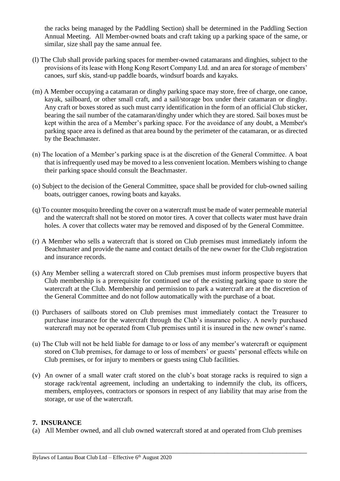the racks being managed by the Paddling Section) shall be determined in the Paddling Section Annual Meeting. All Member-owned boats and craft taking up a parking space of the same, or similar, size shall pay the same annual fee.

- (l) The Club shall provide parking spaces for member-owned catamarans and dinghies, subject to the provisions of its lease with Hong Kong Resort Company Ltd. and an area for storage of members' canoes, surf skis, stand-up paddle boards, windsurf boards and kayaks.
- (m) A Member occupying a catamaran or dinghy parking space may store, free of charge, one canoe, kayak, sailboard, or other small craft, and a sail/storage box under their catamaran or dinghy. Any craft or boxes stored as such must carry identification in the form of an official Club sticker, bearing the sail number of the catamaran/dinghy under which they are stored. Sail boxes must be kept within the area of a Member's parking space. For the avoidance of any doubt, a Member's parking space area is defined as that area bound by the perimeter of the catamaran, or as directed by the Beachmaster.
- (n) The location of a Member's parking space is at the discretion of the General Committee. A boat that is infrequently used may be moved to a less convenient location. Members wishing to change their parking space should consult the Beachmaster.
- (o) Subject to the decision of the General Committee, space shall be provided for club-owned sailing boats, outrigger canoes, rowing boats and kayaks.
- (q) To counter mosquito breeding the cover on a watercraft must be made of water permeable material and the watercraft shall not be stored on motor tires. A cover that collects water must have drain holes. A cover that collects water may be removed and disposed of by the General Committee.
- (r) A Member who sells a watercraft that is stored on Club premises must immediately inform the Beachmaster and provide the name and contact details of the new owner for the Club registration and insurance records.
- (s) Any Member selling a watercraft stored on Club premises must inform prospective buyers that Club membership is a prerequisite for continued use of the existing parking space to store the watercraft at the Club. Membership and permission to park a watercraft are at the discretion of the General Committee and do not follow automatically with the purchase of a boat.
- (t) Purchasers of sailboats stored on Club premises must immediately contact the Treasurer to purchase insurance for the watercraft through the Club's insurance policy. A newly purchased watercraft may not be operated from Club premises until it is insured in the new owner's name.
- (u) The Club will not be held liable for damage to or loss of any member's watercraft or equipment stored on Club premises, for damage to or loss of members' or guests' personal effects while on Club premises, or for injury to members or guests using Club facilities.
- (v) An owner of a small water craft stored on the club's boat storage racks is required to sign a storage rack/rental agreement, including an undertaking to indemnify the club, its officers, members, employees, contractors or sponsors in respect of any liability that may arise from the storage, or use of the watercraft.

#### **7. INSURANCE**

(a) All Member owned, and all club owned watercraft stored at and operated from Club premises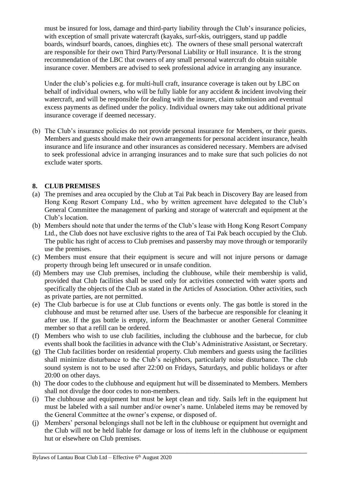must be insured for loss, damage and third-party liability through the Club's insurance policies, with exception of small private watercraft (kayaks, surf-skis, outriggers, stand up paddle boards, windsurf boards, canoes, dinghies etc). The owners of these small personal watercraft are responsible for their own Third Party/Personal Liability or Hull insurance. It is the strong recommendation of the LBC that owners of any small personal watercraft do obtain suitable insurance cover. Members are advised to seek professional advice in arranging any insurance.

Under the club's policies e.g. for multi-hull craft, insurance coverage is taken out by LBC on behalf of individual owners, who will be fully liable for any accident  $\&$  incident involving their watercraft, and will be responsible for dealing with the insurer, claim submission and eventual excess payments as defined under the policy. Individual owners may take out additional private insurance coverage if deemed necessary.

(b) The Club's insurance policies do not provide personal insurance for Members, or their guests. Members and guests should make their own arrangements for personal accident insurance, health insurance and life insurance and other insurances as considered necessary. Members are advised to seek professional advice in arranging insurances and to make sure that such policies do not exclude water sports.

## **8. CLUB PREMISES**

- (a) The premises and area occupied by the Club at Tai Pak beach in Discovery Bay are leased from Hong Kong Resort Company Ltd., who by written agreement have delegated to the Club's General Committee the management of parking and storage of watercraft and equipment at the Club's location.
- (b) Members should note that under the terms of the Club's lease with Hong Kong Resort Company Ltd., the Club does not have exclusive rights to the area of Tai Pak beach occupied by the Club. The public has right of access to Club premises and passersby may move through or temporarily use the premises.
- (c) Members must ensure that their equipment is secure and will not injure persons or damage property through being left unsecured or in unsafe condition.
- (d) Members may use Club premises, including the clubhouse, while their membership is valid, provided that Club facilities shall be used only for activities connected with water sports and specifically the objects of the Club as stated in the Articles of Association. Other activities, such as private parties, are not permitted.
- (e) The Club barbecue is for use at Club functions or events only. The gas bottle is stored in the clubhouse and must be returned after use. Users of the barbecue are responsible for cleaning it after use. If the gas bottle is empty, inform the Beachmaster or another General Committee member so that a refill can be ordered.
- (f) Members who wish to use club facilities, including the clubhouse and the barbecue, for club events shall book the facilities in advance with the Club's Administrative Assistant, or Secretary.
- (g) The Club facilities border on residential property. Club members and guests using the facilities shall minimize disturbance to the Club's neighbors, particularly noise disturbance. The club sound system is not to be used after 22:00 on Fridays, Saturdays, and public holidays or after 20:00 on other days.
- (h) The door codes to the clubhouse and equipment hut will be disseminated to Members. Members shall not divulge the door codes to non-members.
- (i) The clubhouse and equipment hut must be kept clean and tidy. Sails left in the equipment hut must be labeled with a sail number and/or owner's name. Unlabeled items may be removed by the General Committee at the owner's expense, or disposed of.
- (j) Members' personal belongings shall not be left in the clubhouse or equipment hut overnight and the Club will not be held liable for damage or loss of items left in the clubhouse or equipment hut or elsewhere on Club premises.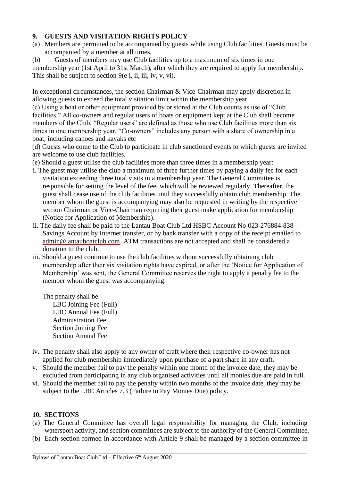### **9. GUESTS AND VISITATION RIGHTS POLICY**

- (a) Members are permitted to be accompanied by guests while using Club facilities. Guests must be accompanied by a member at all times.
- (b) Guests of members may use Club facilities up to a maximum of six times in one

membership year (1st April to 31st March), after which they are required to apply for membership. This shall be subject to section 9(e i, ii, iii, iv, v, vi).

In exceptional circumstances, the section Chairman & Vice-Chairman may apply discretion in allowing guests to exceed the total visitation limit within the membership year.

(c) Using a boat or other equipment provided by or stored at the Club counts as use of "Club facilities." All co-owners and regular users of boats or equipment kept at the Club shall become members of the Club. "Regular users" are defined as those who use Club facilities more than six times in one membership year. "Co-owners" includes any person with a share of ownership in a boat, including canoes and kayaks etc

(d) Guests who come to the Club to participate in club sanctioned events to which guests are invited are welcome to use club facilities.

- (e) Should a guest utilise the club facilities more than three times in a membership year:
- i. The guest may utilise the club a maximum of three further times by paying a daily fee for each visitation exceeding three total visits in a membership year. The General Committee is responsible for setting the level of the fee, which will be reviewed regularly. Thereafter, the guest shall cease use of the club facilities until they successfully obtain club membership. The member whom the guest is accompanying may also be requested in writing by the respective section Chairman or Vice-Chairman requiring their guest make application for membership (Notice for Application of Membership).
- ii. The daily fee shall be paid to the Lantau Boat Club Ltd HSBC Account No 023-276884-838 Savings Account by Internet transfer, or by bank transfer with a copy of the receipt emailed to [admin@lantauboatclub.com.](mailto:admin@lantauboatclub.com) ATM transactions are not accepted and shall be considered a donation to the club.
- iii. Should a guest continue to use the club facilities without successfully obtaining club membership after their six visitation rights have expired, or after the 'Notice for Application of Membership' was sent, the General Committee reserves the right to apply a penalty fee to the member whom the guest was accompanying.

 The penalty shall be: LBC Joining Fee (Full) LBC Annual Fee (Full) Administration Fee Section Joining Fee Section Annual Fee

- iv. The penalty shall also apply to any owner of craft where their respective co-owner has not applied for club membership immediately upon purchase of a part share in any craft.
- v. Should the member fail to pay the penalty within one month of the invoice date, they may be excluded from participating in any club organised activities until all monies due are paid in full.
- vi. Should the member fail to pay the penalty within two months of the invoice date, they may be subject to the LBC Articles 7.3 (Failure to Pay Monies Due) policy.

### **10. SECTIONS**

- (a) The General Committee has overall legal responsibility for managing the Club, including watersport activity, and section committees are subject to the authority of the General Committee.
- (b) Each section formed in accordance with Article 9 shall be managed by a section committee in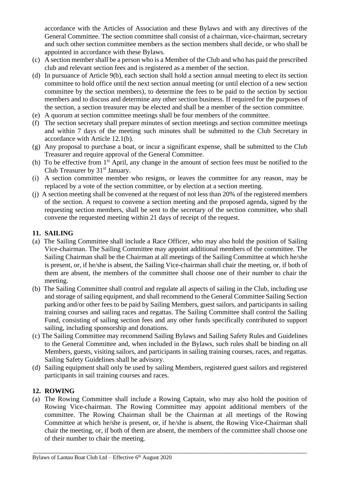accordance with the Articles of Association and these Bylaws and with any directives of the General Committee. The section committee shall consist of a chairman, vice-chairman, secretary and such other section committee members as the section members shall decide, or who shall be appointed in accordance with these Bylaws.

- (c) A section member shall be a person who is a Member of the Club and who has paid the prescribed club and relevant section fees and is registered as a member of the section.
- (d) In pursuance of Article 9(b), each section shall hold a section annual meeting to elect its section committee to hold office until the next section annual meeting (or until election of a new section committee by the section members), to determine the fees to be paid to the section by section members and to discuss and determine any other section business. If required for the purposes of the section, a section treasurer may be elected and shall be a member of the section committee.
- (e) A quorum at section committee meetings shall be four members of the committee.
- (f) The section secretary shall prepare minutes of section meetings and section committee meetings and within 7 days of the meeting such minutes shall be submitted to the Club Secretary in accordance with Article 12.1(b).
- (g) Any proposal to purchase a boat, or incur a significant expense, shall be submitted to the Club Treasurer and require approval of the General Committee.
- (h) To be effective from 1st April, any change in the amount of section fees must be notified to the Club Treasurer by  $31<sup>st</sup>$  January.
- (i) A section committee member who resigns, or leaves the committee for any reason, may be replaced by a vote of the section committee, or by election at a section meeting.
- (j) A section meeting shall be convened at the request of not less than 20% of the registered members of the section. A request to convene a section meeting and the proposed agenda, signed by the requesting section members, shall be sent to the secretary of the section committee, who shall convene the requested meeting within 21 days of receipt of the request.

## **11. SAILING**

- (a) The Sailing Committee shall include a Race Officer, who may also hold the position of Sailing Vice-chairman. The Sailing Committee may appoint additional members of the committee. The Sailing Chairman shall be the Chairman at all meetings of the Sailing Committee at which he/she is present, or, if he/she is absent, the Sailing Vice-chairman shall chair the meeting, or, if both of them are absent, the members of the committee shall choose one of their number to chair the meeting.
- (b) The Sailing Committee shall control and regulate all aspects of sailing in the Club, including use and storage of sailing equipment, and shall recommend to the General Committee Sailing Section parking and/or other fees to be paid by Sailing Members, guest sailors, and participants in sailing training courses and sailing races and regattas. The Sailing Committee shall control the Sailing Fund, consisting of sailing section fees and any other funds specifically contributed to support sailing, including sponsorship and donations.
- (c) The Sailing Committee may recommend Sailing Bylaws and Sailing Safety Rules and Guidelines to the General Committee and, when included in the Bylaws, such rules shall be binding on all Members, guests, visiting sailors, and participants in sailing training courses, races, and regattas. Sailing Safety Guidelines shall be advisory.
- (d) Sailing equipment shall only be used by sailing Members, registered guest sailors and registered participants in sail training courses and races.

## **12. ROWING**

(a) The Rowing Committee shall include a Rowing Captain, who may also hold the position of Rowing Vice-chairman. The Rowing Committee may appoint additional members of the committee. The Rowing Chairman shall be the Chairman at all meetings of the Rowing Committee at which he/she is present, or, if he/she is absent, the Rowing Vice-Chairman shall chair the meeting, or, if both of them are absent, the members of the committee shall choose one of their number to chair the meeting.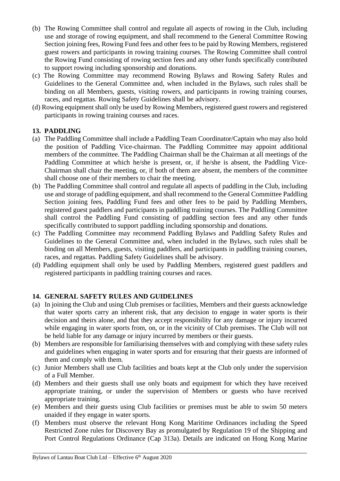- (b) The Rowing Committee shall control and regulate all aspects of rowing in the Club, including use and storage of rowing equipment, and shall recommend to the General Committee Rowing Section joining fees, Rowing Fund fees and other fees to be paid by Rowing Members, registered guest rowers and participants in rowing training courses. The Rowing Committee shall control the Rowing Fund consisting of rowing section fees and any other funds specifically contributed to support rowing including sponsorship and donations.
- (c) The Rowing Committee may recommend Rowing Bylaws and Rowing Safety Rules and Guidelines to the General Committee and, when included in the Bylaws, such rules shall be binding on all Members, guests, visiting rowers, and participants in rowing training courses, races, and regattas. Rowing Safety Guidelines shall be advisory.
- (d) Rowing equipment shall only be used by Rowing Members, registered guest rowers and registered participants in rowing training courses and races.

## **13. PADDLING**

- (a) The Paddling Committee shall include a Paddling Team Coordinator/Captain who may also hold the position of Paddling Vice-chairman. The Paddling Committee may appoint additional members of the committee. The Paddling Chairman shall be the Chairman at all meetings of the Paddling Committee at which he/she is present, or, if he/she is absent, the Paddling Vice-Chairman shall chair the meeting, or, if both of them are absent, the members of the committee shall choose one of their members to chair the meeting.
- (b) The Paddling Committee shall control and regulate all aspects of paddling in the Club, including use and storage of paddling equipment, and shall recommend to the General Committee Paddling Section joining fees, Paddling Fund fees and other fees to be paid by Paddling Members, registered guest paddlers and participants in paddling training courses. The Paddling Committee shall control the Paddling Fund consisting of paddling section fees and any other funds specifically contributed to support paddling including sponsorship and donations.
- (c) The Paddling Committee may recommend Paddling Bylaws and Paddling Safety Rules and Guidelines to the General Committee and, when included in the Bylaws, such rules shall be binding on all Members, guests, visiting paddlers, and participants in paddling training courses, races, and regattas. Paddling Safety Guidelines shall be advisory.
- (d) Paddling equipment shall only be used by Paddling Members, registered guest paddlers and registered participants in paddling training courses and races.

### **14. GENERAL SAFETY RULES AND GUIDELINES**

- (a) In joining the Club and using Club premises or facilities, Members and their guests acknowledge that water sports carry an inherent risk, that any decision to engage in water sports is their decision and theirs alone, and that they accept responsibility for any damage or injury incurred while engaging in water sports from, on, or in the vicinity of Club premises. The Club will not be held liable for any damage or injury incurred by members or their guests.
- (b) Members are responsible for familiarising themselves with and complying with these safety rules and guidelines when engaging in water sports and for ensuring that their guests are informed of them and comply with them.
- (c) Junior Members shall use Club facilities and boats kept at the Club only under the supervision of a Full Member.
- (d) Members and their guests shall use only boats and equipment for which they have received appropriate training, or under the supervision of Members or guests who have received appropriate training.
- (e) Members and their guests using Club facilities or premises must be able to swim 50 meters unaided if they engage in water sports.
- (f) Members must observe the relevant Hong Kong Maritime Ordinances including the Speed Restricted Zone rules for Discovery Bay as promulgated by Regulation 19 of the Shipping and Port Control Regulations Ordinance (Cap 313a). Details are indicated on Hong Kong Marine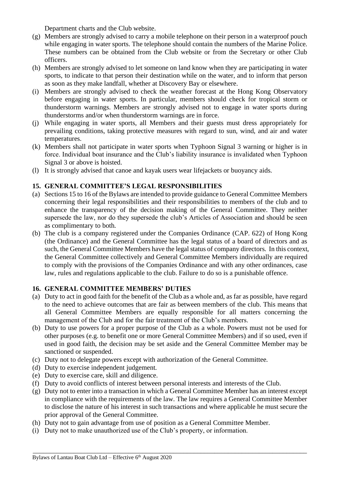Department charts and the Club website.

- (g) Members are strongly advised to carry a mobile telephone on their person in a waterproof pouch while engaging in water sports. The telephone should contain the numbers of the Marine Police. These numbers can be obtained from the Club website or from the Secretary or other Club officers.
- (h) Members are strongly advised to let someone on land know when they are participating in water sports, to indicate to that person their destination while on the water, and to inform that person as soon as they make landfall, whether at Discovery Bay or elsewhere.
- (i) Members are strongly advised to check the weather forecast at the Hong Kong Observatory before engaging in water sports. In particular, members should check for tropical storm or thunderstorm warnings. Members are strongly advised not to engage in water sports during thunderstorms and/or when thunderstorm warnings are in force.
- (j) While engaging in water sports, all Members and their guests must dress appropriately for prevailing conditions, taking protective measures with regard to sun, wind, and air and water temperatures.
- (k) Members shall not participate in water sports when Typhoon Signal 3 warning or higher is in force. Individual boat insurance and the Club's liability insurance is invalidated when Typhoon Signal 3 or above is hoisted.
- (l) It is strongly advised that canoe and kayak users wear lifejackets or buoyancy aids.

## **15. GENERAL COMMITTEE'S LEGAL RESPONSIBILITIES**

- (a) Sections 15 to 16 of the Bylaws are intended to provide guidance to General Committee Members concerning their legal responsibilities and their responsibilities to members of the club and to enhance the transparency of the decision making of the General Committee. They neither supersede the law, nor do they supersede the club's Articles of Association and should be seen as complimentary to both.
- (b) The club is a company registered under the Companies Ordinance (CAP. 622) of Hong Kong (the Ordinance) and the General Committee has the legal status of a board of directors and as such, the General Committee Members have the legal status of company directors. In this context, the General Committee collectively and General Committee Members individually are required to comply with the provisions of the Companies Ordinance and with any other ordinances, case law, rules and regulations applicable to the club. Failure to do so is a punishable offence.

### **16. GENERAL COMMITTEE MEMBERS' DUTIES**

- (a) Duty to act in good faith for the benefit of the Club as a whole and, as far as possible, have regard to the need to achieve outcomes that are fair as between members of the club. This means that all General Committee Members are equally responsible for all matters concerning the management of the Club and for the fair treatment of the Club's members.
- (b) Duty to use powers for a proper purpose of the Club as a whole. Powers must not be used for other purposes (e.g. to benefit one or more General Committee Members) and if so used, even if used in good faith, the decision may be set aside and the General Committee Member may be sanctioned or suspended.
- (c) Duty not to delegate powers except with authorization of the General Committee.
- (d) Duty to exercise independent judgement.
- (e) Duty to exercise care, skill and diligence.
- (f) Duty to avoid conflicts of interest between personal interests and interests of the Club.
- (g) Duty not to enter into a transaction in which a General Committee Member has an interest except in compliance with the requirements of the law. The law requires a General Committee Member to disclose the nature of his interest in such transactions and where applicable he must secure the prior approval of the General Committee.

- (h) Duty not to gain advantage from use of position as a General Committee Member.
- (i) Duty not to make unauthorized use of the Club's property, or information.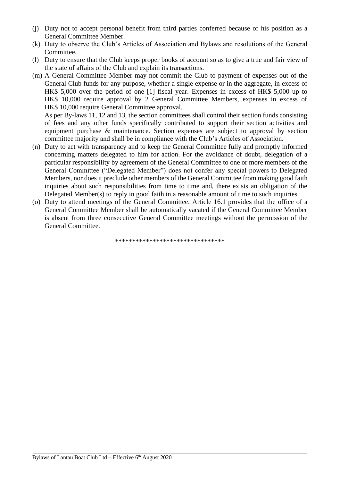- (j) Duty not to accept personal benefit from third parties conferred because of his position as a General Committee Member.
- (k) Duty to observe the Club's Articles of Association and Bylaws and resolutions of the General Committee.
- (l) Duty to ensure that the Club keeps proper books of account so as to give a true and fair view of the state of affairs of the Club and explain its transactions.
- (m) A General Committee Member may not commit the Club to payment of expenses out of the General Club funds for any purpose, whether a single expense or in the aggregate, in excess of HK\$ 5,000 over the period of one [1] fiscal year. Expenses in excess of HK\$ 5,000 up to HK\$ 10,000 require approval by 2 General Committee Members, expenses in excess of HK\$ 10,000 require General Committee approval.

As per By-laws 11, 12 and 13, the section committees shall control their section funds consisting of fees and any other funds specifically contributed to support their section activities and equipment purchase & maintenance. Section expenses are subject to approval by section committee majority and shall be in compliance with the Club's Articles of Association.

- (n) Duty to act with transparency and to keep the General Committee fully and promptly informed concerning matters delegated to him for action. For the avoidance of doubt, delegation of a particular responsibility by agreement of the General Committee to one or more members of the General Committee ("Delegated Member") does not confer any special powers to Delegated Members, nor does it preclude other members of the General Committee from making good faith inquiries about such responsibilities from time to time and, there exists an obligation of the Delegated Member(s) to reply in good faith in a reasonable amount of time to such inquiries.
- (o) Duty to attend meetings of the General Committee. Article 16.1 provides that the office of a General Committee Member shall be automatically vacated if the General Committee Member is absent from three consecutive General Committee meetings without the permission of the General Committee.

\*\*\*\*\*\*\*\*\*\*\*\*\*\*\*\*\*\*\*\*\*\*\*\*\*\*\*\*\*\*\*\*